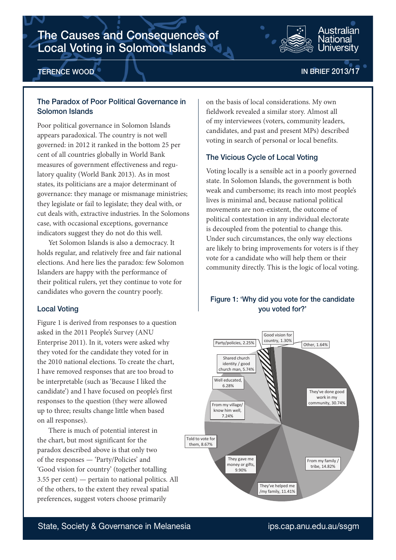# The Causes and Consequences of Local Voting in Solomon Islands



## TERENCE WOOD

# IN BRIEF 2013/17

Iniversitv

## The Paradox of Poor Political Governance in Solomon Islands

Poor political governance in Solomon Islands appears paradoxical. The country is not well governed: in 2012 it ranked in the bottom 25 per cent of all countries globally in World Bank measures of government effectiveness and regulatory quality (World Bank 2013). As in most states, its politicians are a major determinant of governance: they manage or mismanage ministries; they legislate or fail to legislate; they deal with, or cut deals with, extractive industries. In the Solomons case, with occasional exceptions, governance indicators suggest they do not do this well.

Yet Solomon Islands is also a democracy. It holds regular, and relatively free and fair national elections. And here lies the paradox: few Solomon Islanders are happy with the performance of their political rulers, yet they continue to vote for candidates who govern the country poorly.

#### Local Voting

Figure 1 is derived from responses to a question asked in the 2011 People's Survey (ANU Enterprise 2011). In it, voters were asked why they voted for the candidate they voted for in the 2010 national elections. To create the chart, I have removed responses that are too broad to be interpretable (such as 'Because I liked the candidate') and I have focused on people's first responses to the question (they were allowed up to three; results change little when based on all responses).

There is much of potential interest in the chart, but most significant for the paradox described above is that only two of the responses — 'Party/Policies' and 'Good vision for country' (together totalling 3.55 per cent) — pertain to national politics. All of the others, to the extent they reveal spatial preferences, suggest voters choose primarily

on the basis of local considerations. My own fieldwork revealed a similar story. Almost all of my interviewees (voters, community leaders, candidates, and past and present MPs) described voting in search of personal or local benefits.

### The Vicious Cycle of Local Voting

Voting locally is a sensible act in a poorly governed state. In Solomon Islands, the government is both weak and cumbersome; its reach into most people's lives is minimal and, because national political movements are non-existent, the outcome of political contestation in any individual electorate is decoupled from the potential to change this. Under such circumstances, the only way elections are likely to bring improvements for voters is if they vote for a candidate who will help them or their community directly. This is the logic of local voting.

# Figure 1: 'Why did you vote for the candidate you voted for?'